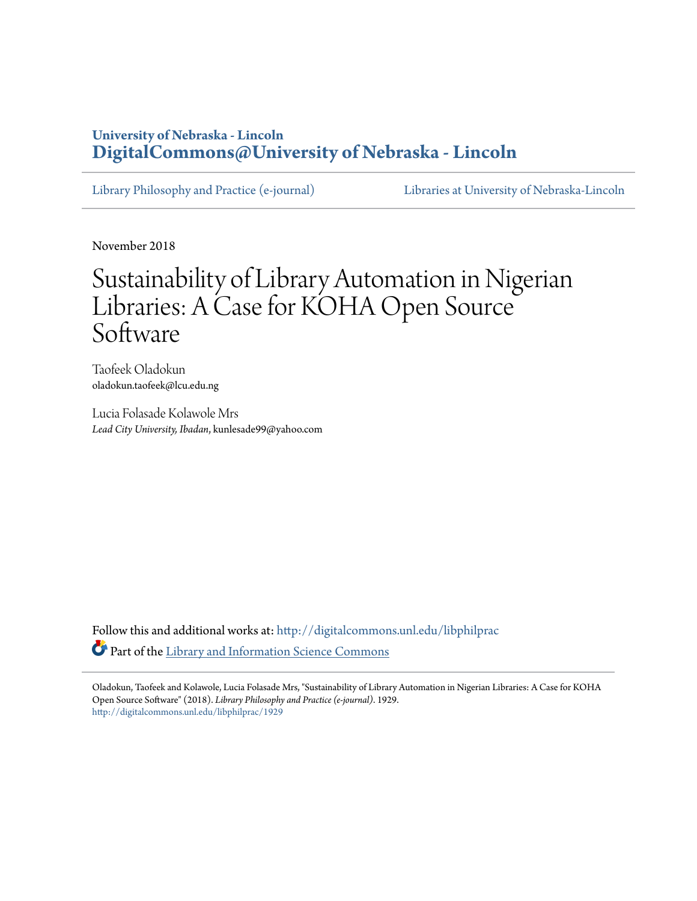# **University of Nebraska - Lincoln [DigitalCommons@University of Nebraska - Lincoln](http://digitalcommons.unl.edu?utm_source=digitalcommons.unl.edu%2Flibphilprac%2F1929&utm_medium=PDF&utm_campaign=PDFCoverPages)**

[Library Philosophy and Practice \(e-journal\)](http://digitalcommons.unl.edu/libphilprac?utm_source=digitalcommons.unl.edu%2Flibphilprac%2F1929&utm_medium=PDF&utm_campaign=PDFCoverPages) [Libraries at University of Nebraska-Lincoln](http://digitalcommons.unl.edu/libraries?utm_source=digitalcommons.unl.edu%2Flibphilprac%2F1929&utm_medium=PDF&utm_campaign=PDFCoverPages)

November 2018

# Sustainability of Library Automation in Nigerian Libraries: A Case for KOHA Open Source Software

Taofeek Oladokun oladokun.taofeek@lcu.edu.ng

Lucia Folasade Kolawole Mrs *Lead City University, Ibadan*, kunlesade99@yahoo.com

Follow this and additional works at: [http://digitalcommons.unl.edu/libphilprac](http://digitalcommons.unl.edu/libphilprac?utm_source=digitalcommons.unl.edu%2Flibphilprac%2F1929&utm_medium=PDF&utm_campaign=PDFCoverPages) Part of the [Library and Information Science Commons](http://network.bepress.com/hgg/discipline/1018?utm_source=digitalcommons.unl.edu%2Flibphilprac%2F1929&utm_medium=PDF&utm_campaign=PDFCoverPages)

Oladokun, Taofeek and Kolawole, Lucia Folasade Mrs, "Sustainability of Library Automation in Nigerian Libraries: A Case for KOHA Open Source Software" (2018). *Library Philosophy and Practice (e-journal)*. 1929. [http://digitalcommons.unl.edu/libphilprac/1929](http://digitalcommons.unl.edu/libphilprac/1929?utm_source=digitalcommons.unl.edu%2Flibphilprac%2F1929&utm_medium=PDF&utm_campaign=PDFCoverPages)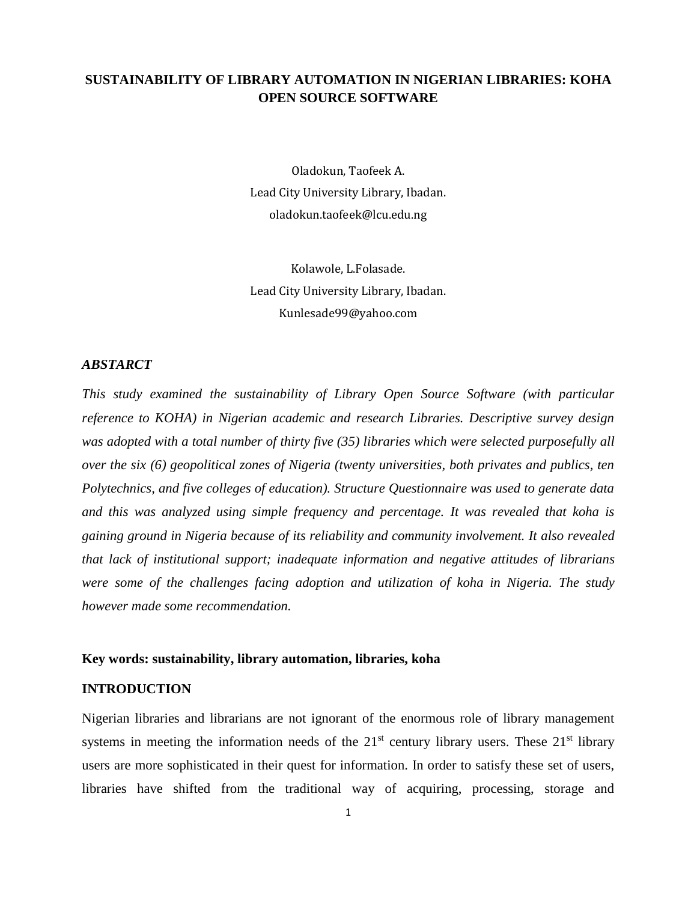# **SUSTAINABILITY OF LIBRARY AUTOMATION IN NIGERIAN LIBRARIES: KOHA OPEN SOURCE SOFTWARE**

Oladokun, Taofeek A. Lead City University Library, Ibadan. oladokun.taofeek@lcu.edu.ng

Kolawole, L.Folasade. Lead City University Library, Ibadan. Kunlesade99@yahoo.com

#### *ABSTARCT*

*This study examined the sustainability of Library Open Source Software (with particular reference to KOHA) in Nigerian academic and research Libraries. Descriptive survey design was adopted with a total number of thirty five (35) libraries which were selected purposefully all over the six (6) geopolitical zones of Nigeria (twenty universities, both privates and publics, ten Polytechnics, and five colleges of education). Structure Questionnaire was used to generate data and this was analyzed using simple frequency and percentage. It was revealed that koha is gaining ground in Nigeria because of its reliability and community involvement. It also revealed that lack of institutional support; inadequate information and negative attitudes of librarians were some of the challenges facing adoption and utilization of koha in Nigeria. The study however made some recommendation.*

#### **Key words: sustainability, library automation, libraries, koha**

#### **INTRODUCTION**

Nigerian libraries and librarians are not ignorant of the enormous role of library management systems in meeting the information needs of the  $21<sup>st</sup>$  century library users. These  $21<sup>st</sup>$  library users are more sophisticated in their quest for information. In order to satisfy these set of users, libraries have shifted from the traditional way of acquiring, processing, storage and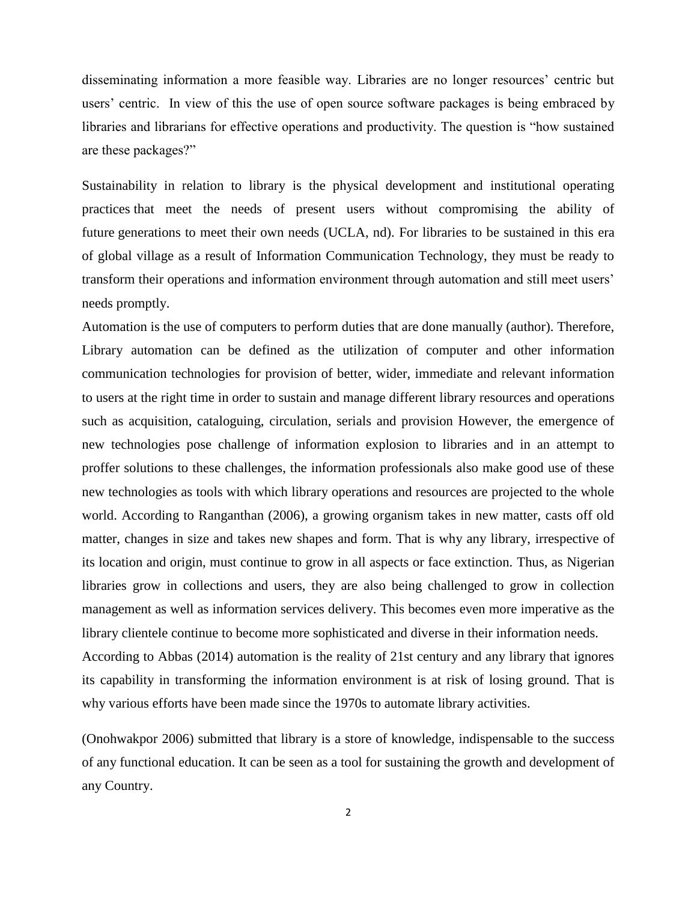disseminating information a more feasible way. Libraries are no longer resources' centric but users' centric. In view of this the use of open source software packages is being embraced by libraries and librarians for effective operations and productivity. The question is "how sustained are these packages?"

Sustainability in relation to library is the physical development and institutional operating practices that meet the needs of present users without compromising the ability of future generations to meet their own needs (UCLA, nd). For libraries to be sustained in this era of global village as a result of Information Communication Technology, they must be ready to transform their operations and information environment through automation and still meet users' needs promptly.

Automation is the use of computers to perform duties that are done manually (author). Therefore, Library automation can be defined as the utilization of computer and other information communication technologies for provision of better, wider, immediate and relevant information to users at the right time in order to sustain and manage different library resources and operations such as acquisition, cataloguing, circulation, serials and provision However, the emergence of new technologies pose challenge of information explosion to libraries and in an attempt to proffer solutions to these challenges, the information professionals also make good use of these new technologies as tools with which library operations and resources are projected to the whole world. According to Ranganthan (2006), a growing organism takes in new matter, casts off old matter, changes in size and takes new shapes and form. That is why any library, irrespective of its location and origin, must continue to grow in all aspects or face extinction. Thus, as Nigerian libraries grow in collections and users, they are also being challenged to grow in collection management as well as information services delivery. This becomes even more imperative as the library clientele continue to become more sophisticated and diverse in their information needs. According to Abbas (2014) automation is the reality of 21st century and any library that ignores its capability in transforming the information environment is at risk of losing ground. That is

why various efforts have been made since the 1970s to automate library activities.

(Onohwakpor 2006) submitted that library is a store of knowledge, indispensable to the success of any functional education. It can be seen as a tool for sustaining the growth and development of any Country.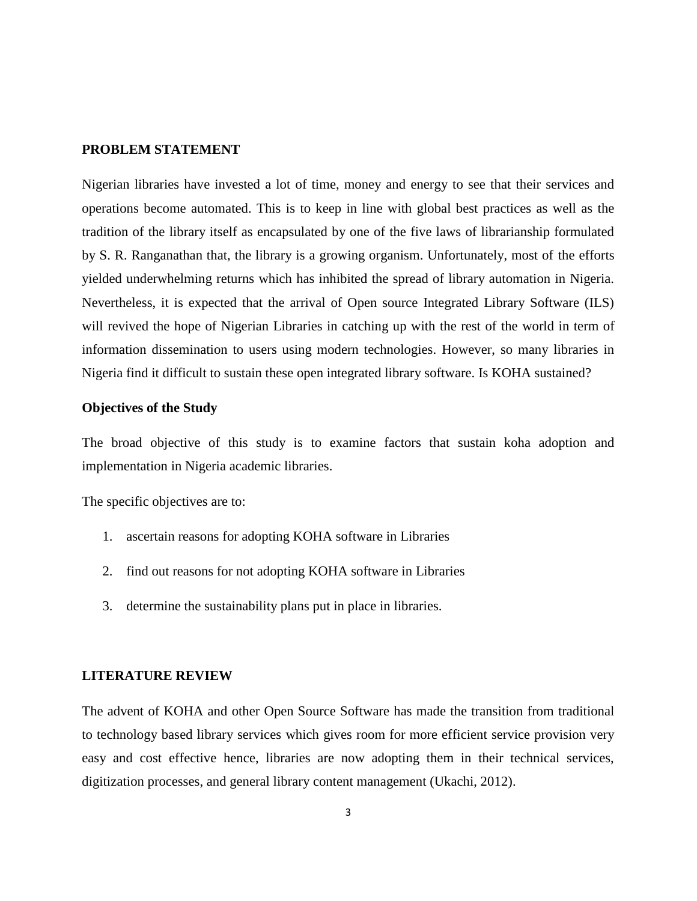## **PROBLEM STATEMENT**

Nigerian libraries have invested a lot of time, money and energy to see that their services and operations become automated. This is to keep in line with global best practices as well as the tradition of the library itself as encapsulated by one of the five laws of librarianship formulated by S. R. Ranganathan that, the library is a growing organism. Unfortunately, most of the efforts yielded underwhelming returns which has inhibited the spread of library automation in Nigeria. Nevertheless, it is expected that the arrival of Open source Integrated Library Software (ILS) will revived the hope of Nigerian Libraries in catching up with the rest of the world in term of information dissemination to users using modern technologies. However, so many libraries in Nigeria find it difficult to sustain these open integrated library software. Is KOHA sustained?

#### **Objectives of the Study**

The broad objective of this study is to examine factors that sustain koha adoption and implementation in Nigeria academic libraries.

The specific objectives are to:

- 1. ascertain reasons for adopting KOHA software in Libraries
- 2. find out reasons for not adopting KOHA software in Libraries
- 3. determine the sustainability plans put in place in libraries.

#### **LITERATURE REVIEW**

The advent of KOHA and other Open Source Software has made the transition from traditional to technology based library services which gives room for more efficient service provision very easy and cost effective hence, libraries are now adopting them in their technical services, digitization processes, and general library content management (Ukachi, 2012).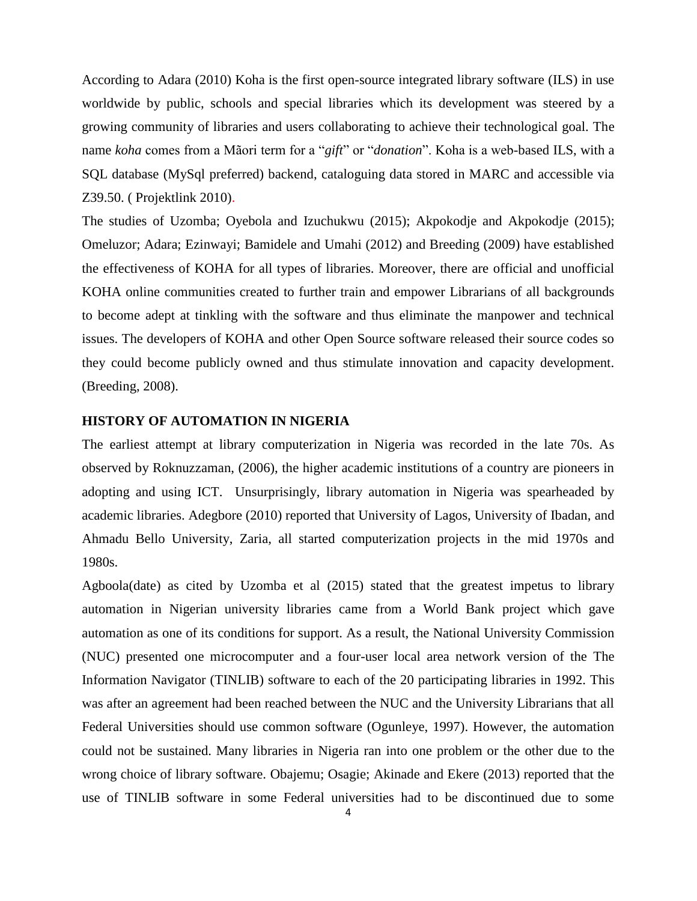According to Adara (2010) Koha is the first open-source integrated library software (ILS) in use worldwide by public, schools and special libraries which its development was steered by a growing community of libraries and users collaborating to achieve their technological goal. The name *koha* comes from a Mãori term for a "*gift*" or "*donation*". Koha is a web-based ILS, with a SQL database (MySql preferred) backend, cataloguing data stored in MARC and accessible via Z39.50. ( Projektlink 2010).

The studies of Uzomba; Oyebola and Izuchukwu (2015); Akpokodje and Akpokodje (2015); Omeluzor; Adara; Ezinwayi; Bamidele and Umahi (2012) and Breeding (2009) have established the effectiveness of KOHA for all types of libraries. Moreover, there are official and unofficial KOHA online communities created to further train and empower Librarians of all backgrounds to become adept at tinkling with the software and thus eliminate the manpower and technical issues. The developers of KOHA and other Open Source software released their source codes so they could become publicly owned and thus stimulate innovation and capacity development. (Breeding, 2008).

#### **HISTORY OF AUTOMATION IN NIGERIA**

The earliest attempt at library computerization in Nigeria was recorded in the late 70s. As observed by Roknuzzaman, (2006), the higher academic institutions of a country are pioneers in adopting and using ICT. Unsurprisingly, library automation in Nigeria was spearheaded by academic libraries. Adegbore (2010) reported that University of Lagos, University of Ibadan, and Ahmadu Bello University, Zaria, all started computerization projects in the mid 1970s and 1980s.

Agboola(date) as cited by Uzomba et al (2015) stated that the greatest impetus to library automation in Nigerian university libraries came from a World Bank project which gave automation as one of its conditions for support. As a result, the National University Commission (NUC) presented one microcomputer and a four-user local area network version of the The Information Navigator (TINLIB) software to each of the 20 participating libraries in 1992. This was after an agreement had been reached between the NUC and the University Librarians that all Federal Universities should use common software (Ogunleye, 1997). However, the automation could not be sustained. Many libraries in Nigeria ran into one problem or the other due to the wrong choice of library software. Obajemu; Osagie; Akinade and Ekere (2013) reported that the use of TINLIB software in some Federal universities had to be discontinued due to some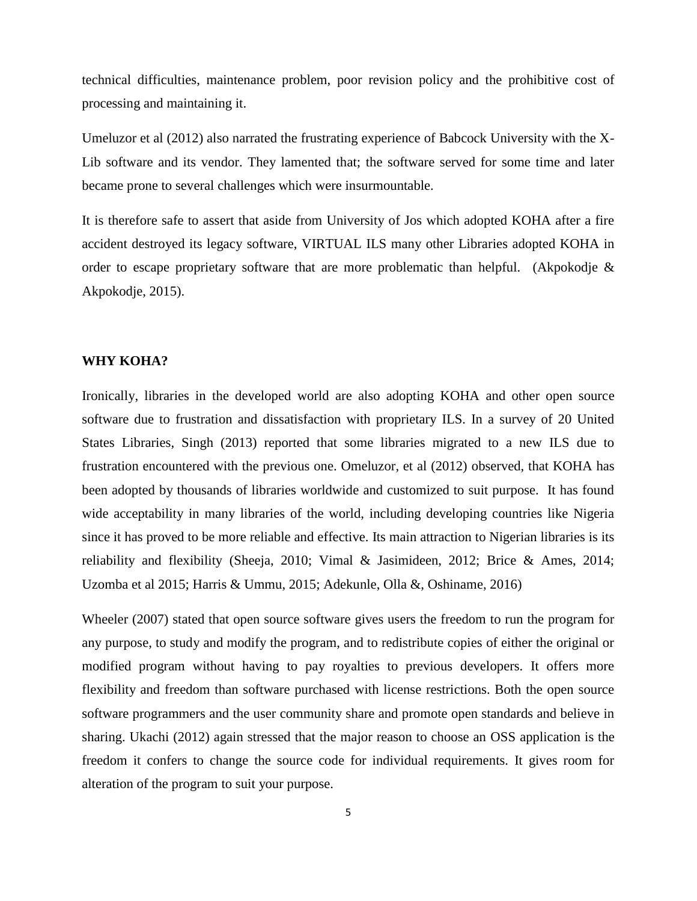technical difficulties, maintenance problem, poor revision policy and the prohibitive cost of processing and maintaining it.

Umeluzor et al (2012) also narrated the frustrating experience of Babcock University with the X-Lib software and its vendor. They lamented that; the software served for some time and later became prone to several challenges which were insurmountable.

It is therefore safe to assert that aside from University of Jos which adopted KOHA after a fire accident destroyed its legacy software, VIRTUAL ILS many other Libraries adopted KOHA in order to escape proprietary software that are more problematic than helpful. (Akpokodje & Akpokodje, 2015).

#### **WHY KOHA?**

Ironically, libraries in the developed world are also adopting KOHA and other open source software due to frustration and dissatisfaction with proprietary ILS. In a survey of 20 United States Libraries, Singh (2013) reported that some libraries migrated to a new ILS due to frustration encountered with the previous one. Omeluzor, et al (2012) observed, that KOHA has been adopted by thousands of libraries worldwide and customized to suit purpose. It has found wide acceptability in many libraries of the world, including developing countries like Nigeria since it has proved to be more reliable and effective. Its main attraction to Nigerian libraries is its reliability and flexibility (Sheeja, 2010; Vimal & Jasimideen, 2012; Brice & Ames, 2014; Uzomba et al 2015; Harris & Ummu, 2015; Adekunle, Olla &, Oshiname, 2016)

Wheeler (2007) stated that open source software gives users the freedom to run the program for any purpose, to study and modify the program, and to redistribute copies of either the original or modified program without having to pay royalties to previous developers. It offers more flexibility and freedom than software purchased with license restrictions. Both the open source software programmers and the user community share and promote open standards and believe in sharing. Ukachi (2012) again stressed that the major reason to choose an OSS application is the freedom it confers to change the source code for individual requirements. It gives room for alteration of the program to suit your purpose.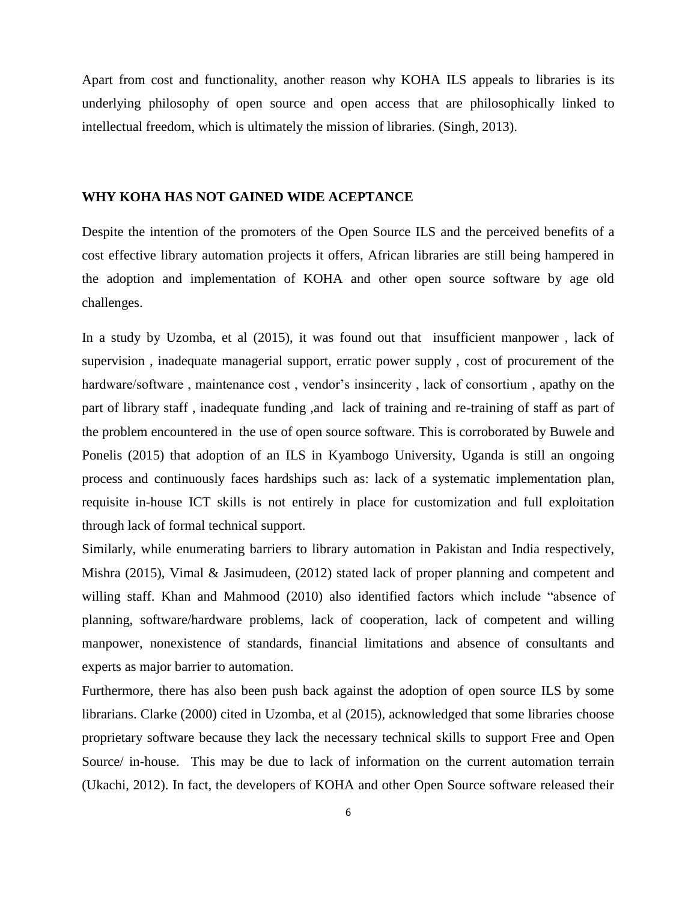Apart from cost and functionality, another reason why KOHA ILS appeals to libraries is its underlying philosophy of open source and open access that are philosophically linked to intellectual freedom, which is ultimately the mission of libraries. (Singh, 2013).

#### **WHY KOHA HAS NOT GAINED WIDE ACEPTANCE**

Despite the intention of the promoters of the Open Source ILS and the perceived benefits of a cost effective library automation projects it offers, African libraries are still being hampered in the adoption and implementation of KOHA and other open source software by age old challenges.

In a study by Uzomba, et al (2015), it was found out that insufficient manpower , lack of supervision , inadequate managerial support, erratic power supply , cost of procurement of the hardware/software , maintenance cost , vendor's insincerity , lack of consortium , apathy on the part of library staff , inadequate funding ,and lack of training and re-training of staff as part of the problem encountered in the use of open source software. This is corroborated by Buwele and Ponelis (2015) that adoption of an ILS in Kyambogo University, Uganda is still an ongoing process and continuously faces hardships such as: lack of a systematic implementation plan, requisite in-house ICT skills is not entirely in place for customization and full exploitation through lack of formal technical support.

Similarly, while enumerating barriers to library automation in Pakistan and India respectively, Mishra (2015), Vimal & Jasimudeen, (2012) stated lack of proper planning and competent and willing staff. Khan and Mahmood (2010) also identified factors which include "absence of planning, software/hardware problems, lack of cooperation, lack of competent and willing manpower, nonexistence of standards, financial limitations and absence of consultants and experts as major barrier to automation.

Furthermore, there has also been push back against the adoption of open source ILS by some librarians. Clarke (2000) cited in Uzomba, et al (2015), acknowledged that some libraries choose proprietary software because they lack the necessary technical skills to support Free and Open Source/ in-house. This may be due to lack of information on the current automation terrain (Ukachi, 2012). In fact, the developers of KOHA and other Open Source software released their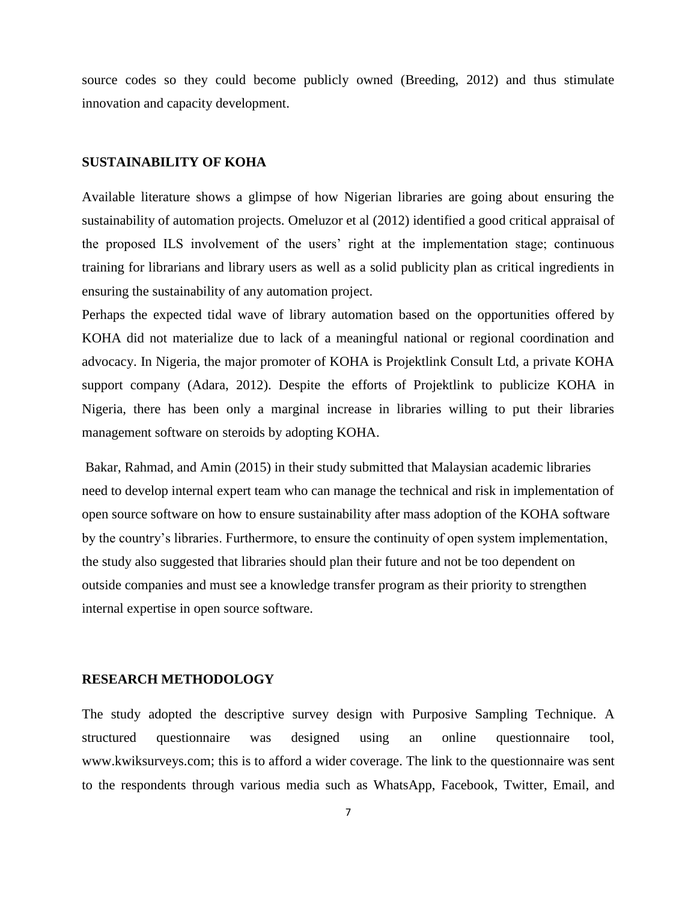source codes so they could become publicly owned (Breeding, 2012) and thus stimulate innovation and capacity development.

#### **SUSTAINABILITY OF KOHA**

Available literature shows a glimpse of how Nigerian libraries are going about ensuring the sustainability of automation projects. Omeluzor et al (2012) identified a good critical appraisal of the proposed ILS involvement of the users' right at the implementation stage; continuous training for librarians and library users as well as a solid publicity plan as critical ingredients in ensuring the sustainability of any automation project.

Perhaps the expected tidal wave of library automation based on the opportunities offered by KOHA did not materialize due to lack of a meaningful national or regional coordination and advocacy. In Nigeria, the major promoter of KOHA is Projektlink Consult Ltd, a private KOHA support company (Adara, 2012). Despite the efforts of Projektlink to publicize KOHA in Nigeria, there has been only a marginal increase in libraries willing to put their libraries management software on steroids by adopting KOHA.

Bakar, Rahmad, and Amin (2015) in their study submitted that Malaysian academic libraries need to develop internal expert team who can manage the technical and risk in implementation of open source software on how to ensure sustainability after mass adoption of the KOHA software by the country's libraries. Furthermore, to ensure the continuity of open system implementation, the study also suggested that libraries should plan their future and not be too dependent on outside companies and must see a knowledge transfer program as their priority to strengthen internal expertise in open source software.

#### **RESEARCH METHODOLOGY**

The study adopted the descriptive survey design with Purposive Sampling Technique. A structured questionnaire was designed using an online questionnaire tool, [www.kwiksurveys.com;](http://www.kwiksurveys.com/) this is to afford a wider coverage. The link to the questionnaire was sent to the respondents through various media such as WhatsApp, Facebook, Twitter, Email, and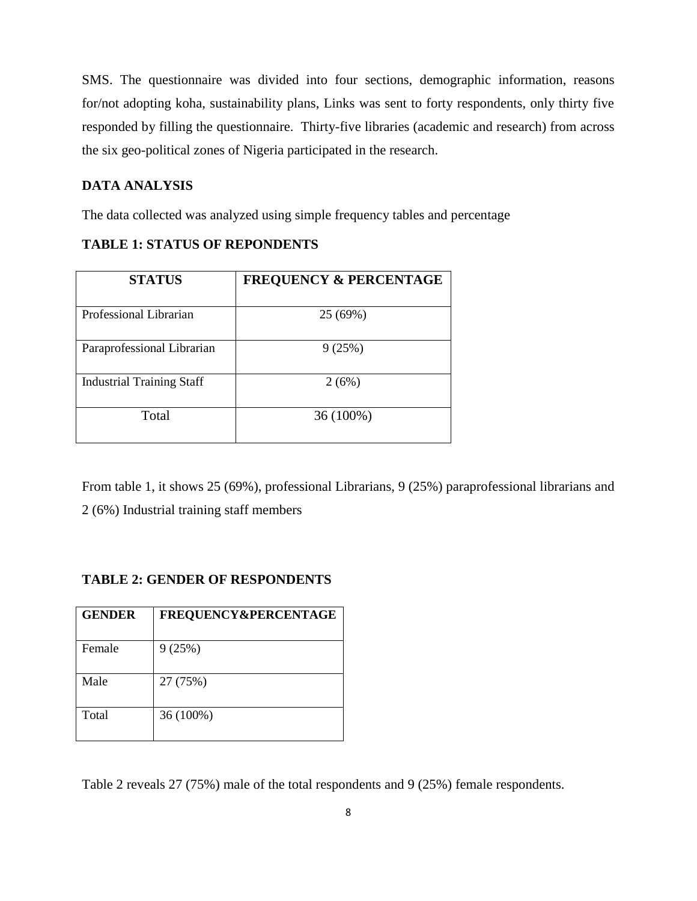SMS. The questionnaire was divided into four sections, demographic information, reasons for/not adopting koha, sustainability plans, Links was sent to forty respondents, only thirty five responded by filling the questionnaire. Thirty-five libraries (academic and research) from across the six geo-political zones of Nigeria participated in the research.

## **DATA ANALYSIS**

The data collected was analyzed using simple frequency tables and percentage

| <b>STATUS</b>                    | <b>FREQUENCY &amp; PERCENTAGE</b> |
|----------------------------------|-----------------------------------|
| Professional Librarian           | 25 (69%)                          |
| Paraprofessional Librarian       | 9(25%)                            |
| <b>Industrial Training Staff</b> | 2(6%)                             |
| Total                            | 36 (100%)                         |

#### **TABLE 1: STATUS OF REPONDENTS**

From table 1, it shows 25 (69%), professional Librarians, 9 (25%) paraprofessional librarians and 2 (6%) Industrial training staff members

#### **TABLE 2: GENDER OF RESPONDENTS**

| <b>GENDER</b> | <b>FREQUENCY&amp;PERCENTAGE</b> |
|---------------|---------------------------------|
| Female        | 9(25%)                          |
| Male          | 27 (75%)                        |
| Total         | 36 (100%)                       |

Table 2 reveals 27 (75%) male of the total respondents and 9 (25%) female respondents.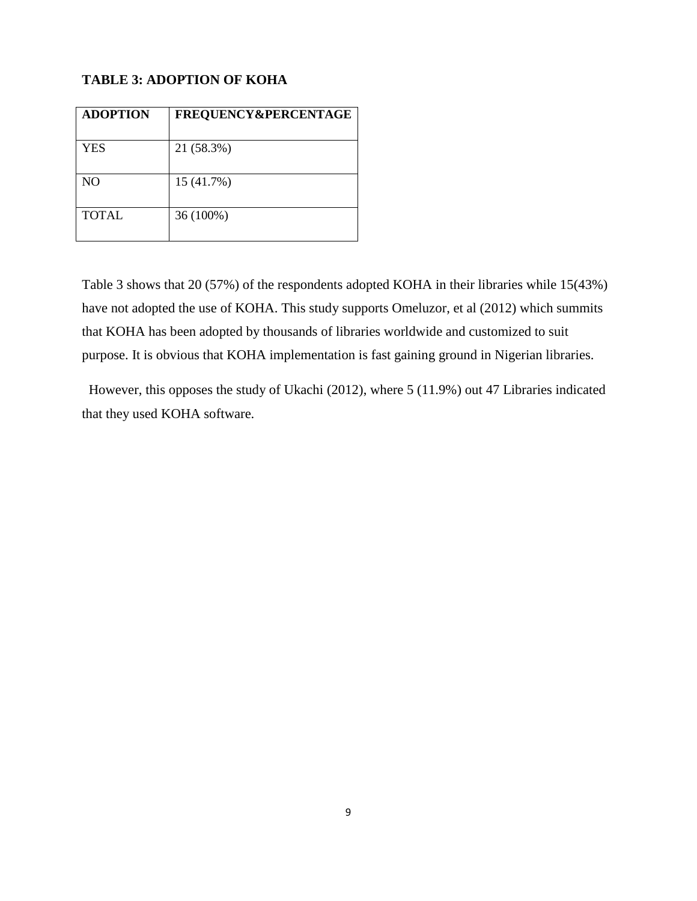# **TABLE 3: ADOPTION OF KOHA**

| FREQUENCY&PERCENTAGE |
|----------------------|
| 21 (58.3%)           |
| 15 (41.7%)           |
| 36 (100%)            |
|                      |

Table 3 shows that 20 (57%) of the respondents adopted KOHA in their libraries while 15(43%) have not adopted the use of KOHA. This study supports Omeluzor, et al (2012) which summits that KOHA has been adopted by thousands of libraries worldwide and customized to suit purpose. It is obvious that KOHA implementation is fast gaining ground in Nigerian libraries.

 However, this opposes the study of Ukachi (2012), where 5 (11.9%) out 47 Libraries indicated that they used KOHA software.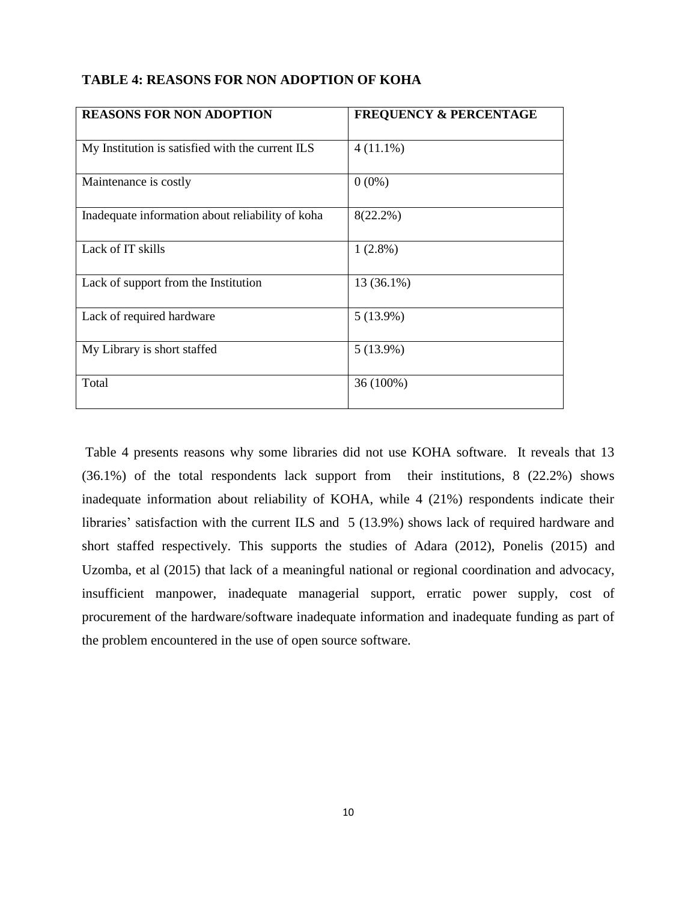| <b>REASONS FOR NON ADOPTION</b>                  | <b>FREQUENCY &amp; PERCENTAGE</b> |
|--------------------------------------------------|-----------------------------------|
| My Institution is satisfied with the current ILS | $4(11.1\%)$                       |
| Maintenance is costly                            | $0(0\%)$                          |
| Inadequate information about reliability of koha | $8(22.2\%)$                       |
| Lack of IT skills                                | $1(2.8\%)$                        |
| Lack of support from the Institution             | 13 (36.1%)                        |
| Lack of required hardware                        | $5(13.9\%)$                       |
| My Library is short staffed                      | $5(13.9\%)$                       |
| Total                                            | 36 (100%)                         |

Table 4 presents reasons why some libraries did not use KOHA software. It reveals that 13 (36.1%) of the total respondents lack support from their institutions, 8 (22.2%) shows inadequate information about reliability of KOHA, while 4 (21%) respondents indicate their libraries' satisfaction with the current ILS and 5 (13.9%) shows lack of required hardware and short staffed respectively. This supports the studies of Adara (2012), Ponelis (2015) and Uzomba, et al (2015) that lack of a meaningful national or regional coordination and advocacy, insufficient manpower, inadequate managerial support, erratic power supply, cost of procurement of the hardware/software inadequate information and inadequate funding as part of the problem encountered in the use of open source software.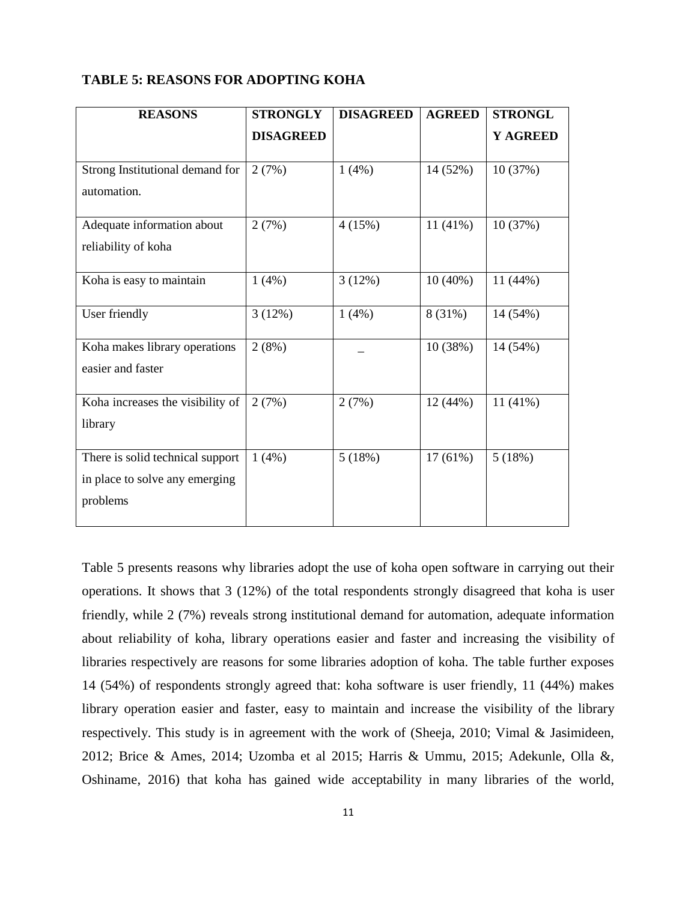| <b>TABLE 5: REASONS FOR ADOPTING KOHA</b> |  |
|-------------------------------------------|--|
|-------------------------------------------|--|

| <b>REASONS</b>                   | <b>STRONGLY</b>  | <b>DISAGREED</b> | <b>AGREED</b> | <b>STRONGL</b> |
|----------------------------------|------------------|------------------|---------------|----------------|
|                                  | <b>DISAGREED</b> |                  |               | Y AGREED       |
|                                  |                  |                  |               |                |
| Strong Institutional demand for  | 2(7%)            | 1(4%)            | 14 (52%)      | 10(37%)        |
| automation.                      |                  |                  |               |                |
| Adequate information about       | 2(7%)            | 4(15%)           | $11(41\%)$    | 10(37%)        |
| reliability of koha              |                  |                  |               |                |
|                                  |                  |                  |               |                |
| Koha is easy to maintain         | 1(4%)            | 3(12%)           | $10(40\%)$    | 11(44%)        |
| User friendly                    | 3(12%)           | 1(4%)            | 8 (31%)       | 14 (54%)       |
| Koha makes library operations    | 2(8%)            |                  | 10(38%)       | 14 (54%)       |
| easier and faster                |                  |                  |               |                |
|                                  |                  |                  |               |                |
| Koha increases the visibility of | 2(7%)            | 2(7%)            | 12(44%)       | 11(41%)        |
| library                          |                  |                  |               |                |
|                                  |                  |                  |               |                |
| There is solid technical support | 1(4%)            | 5(18%)           | $17(61\%)$    | 5(18%)         |
| in place to solve any emerging   |                  |                  |               |                |
| problems                         |                  |                  |               |                |
|                                  |                  |                  |               |                |

Table 5 presents reasons why libraries adopt the use of koha open software in carrying out their operations. It shows that 3 (12%) of the total respondents strongly disagreed that koha is user friendly, while 2 (7%) reveals strong institutional demand for automation, adequate information about reliability of koha, library operations easier and faster and increasing the visibility of libraries respectively are reasons for some libraries adoption of koha. The table further exposes 14 (54%) of respondents strongly agreed that: koha software is user friendly, 11 (44%) makes library operation easier and faster, easy to maintain and increase the visibility of the library respectively. This study is in agreement with the work of (Sheeja, 2010; Vimal & Jasimideen, 2012; Brice & Ames, 2014; Uzomba et al 2015; Harris & Ummu, 2015; Adekunle, Olla &, Oshiname, 2016) that koha has gained wide acceptability in many libraries of the world,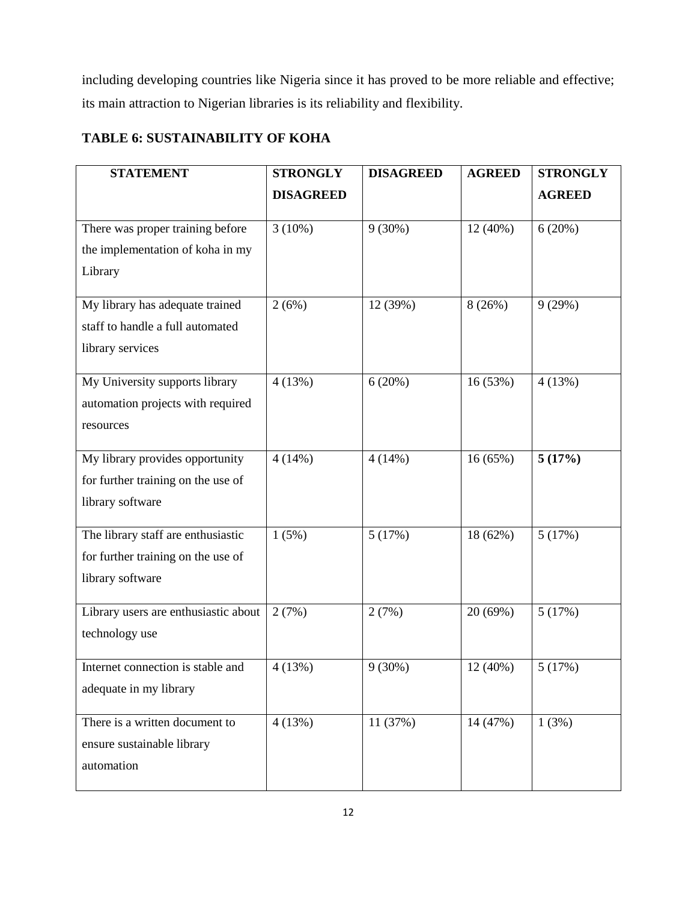including developing countries like Nigeria since it has proved to be more reliable and effective; its main attraction to Nigerian libraries is its reliability and flexibility.

# **TABLE 6: SUSTAINABILITY OF KOHA**

| <b>STATEMENT</b>                     | <b>STRONGLY</b>  | <b>DISAGREED</b> | <b>AGREED</b> | <b>STRONGLY</b> |
|--------------------------------------|------------------|------------------|---------------|-----------------|
|                                      | <b>DISAGREED</b> |                  |               | <b>AGREED</b>   |
|                                      |                  | $9(30\%)$        |               |                 |
| There was proper training before     | $3(10\%)$        |                  | 12 (40%)      | 6(20%)          |
| the implementation of koha in my     |                  |                  |               |                 |
| Library                              |                  |                  |               |                 |
| My library has adequate trained      | 2(6%)            | 12 (39%)         | 8(26%)        | 9(29%)          |
| staff to handle a full automated     |                  |                  |               |                 |
| library services                     |                  |                  |               |                 |
|                                      |                  |                  |               |                 |
| My University supports library       | 4(13%)           | 6(20%)           | 16 (53%)      | 4(13%)          |
| automation projects with required    |                  |                  |               |                 |
| resources                            |                  |                  |               |                 |
| My library provides opportunity      | 4(14%)           | 4(14%)           | 16 (65%)      | 5(17%)          |
| for further training on the use of   |                  |                  |               |                 |
| library software                     |                  |                  |               |                 |
|                                      |                  |                  |               |                 |
| The library staff are enthusiastic   | 1(5%)            | 5(17%)           | 18 (62%)      | 5(17%)          |
| for further training on the use of   |                  |                  |               |                 |
| library software                     |                  |                  |               |                 |
| Library users are enthusiastic about | 2(7%)            | 2(7%)            | 20 (69%)      | 5(17%)          |
|                                      |                  |                  |               |                 |
| technology use                       |                  |                  |               |                 |
| Internet connection is stable and    | 4(13%)           | 9(30%)           | 12 (40%)      | 5(17%)          |
| adequate in my library               |                  |                  |               |                 |
|                                      |                  |                  |               |                 |
| There is a written document to       | 4(13%)           | 11 (37%)         | 14 (47%)      | 1(3%)           |
| ensure sustainable library           |                  |                  |               |                 |
| automation                           |                  |                  |               |                 |
|                                      |                  |                  |               |                 |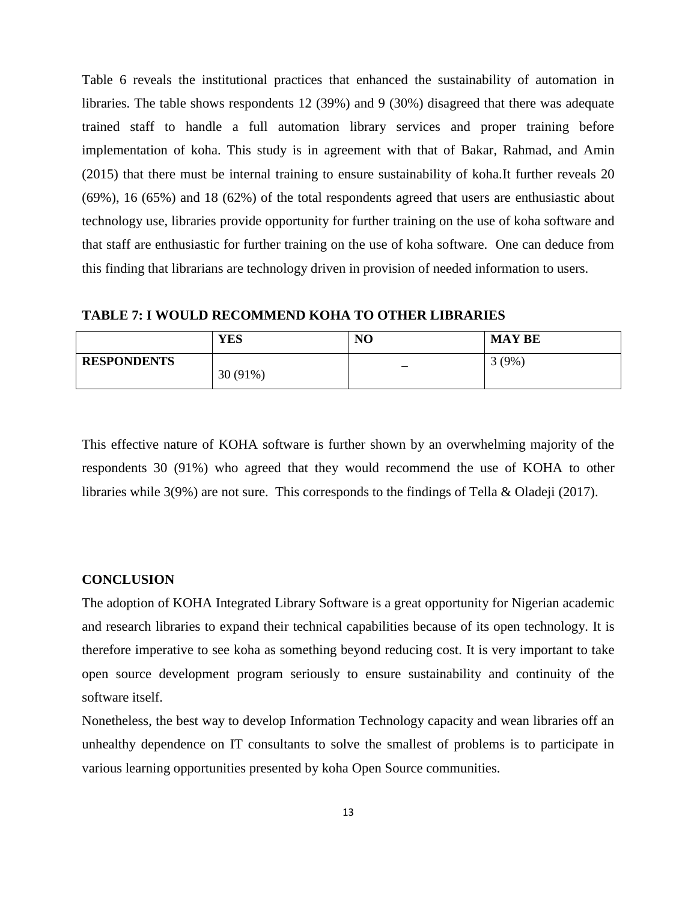Table 6 reveals the institutional practices that enhanced the sustainability of automation in libraries. The table shows respondents 12 (39%) and 9 (30%) disagreed that there was adequate trained staff to handle a full automation library services and proper training before implementation of koha. This study is in agreement with that of Bakar, Rahmad, and Amin (2015) that there must be internal training to ensure sustainability of koha.It further reveals 20 (69%), 16 (65%) and 18 (62%) of the total respondents agreed that users are enthusiastic about technology use, libraries provide opportunity for further training on the use of koha software and that staff are enthusiastic for further training on the use of koha software. One can deduce from this finding that librarians are technology driven in provision of needed information to users.

**TABLE 7: I WOULD RECOMMEND KOHA TO OTHER LIBRARIES** 

|                    | <b>YES</b> | NO | <b>MAY BE</b> |
|--------------------|------------|----|---------------|
| <b>RESPONDENTS</b> | $30(91\%)$ | -  | $(9\%)$       |

This effective nature of KOHA software is further shown by an overwhelming majority of the respondents 30 (91%) who agreed that they would recommend the use of KOHA to other libraries while 3(9%) are not sure. This corresponds to the findings of Tella & Oladeji (2017).

#### **CONCLUSION**

The adoption of KOHA Integrated Library Software is a great opportunity for Nigerian academic and research libraries to expand their technical capabilities because of its open technology. It is therefore imperative to see koha as something beyond reducing cost. It is very important to take open source development program seriously to ensure sustainability and continuity of the software itself.

Nonetheless, the best way to develop Information Technology capacity and wean libraries off an unhealthy dependence on IT consultants to solve the smallest of problems is to participate in various learning opportunities presented by koha Open Source communities.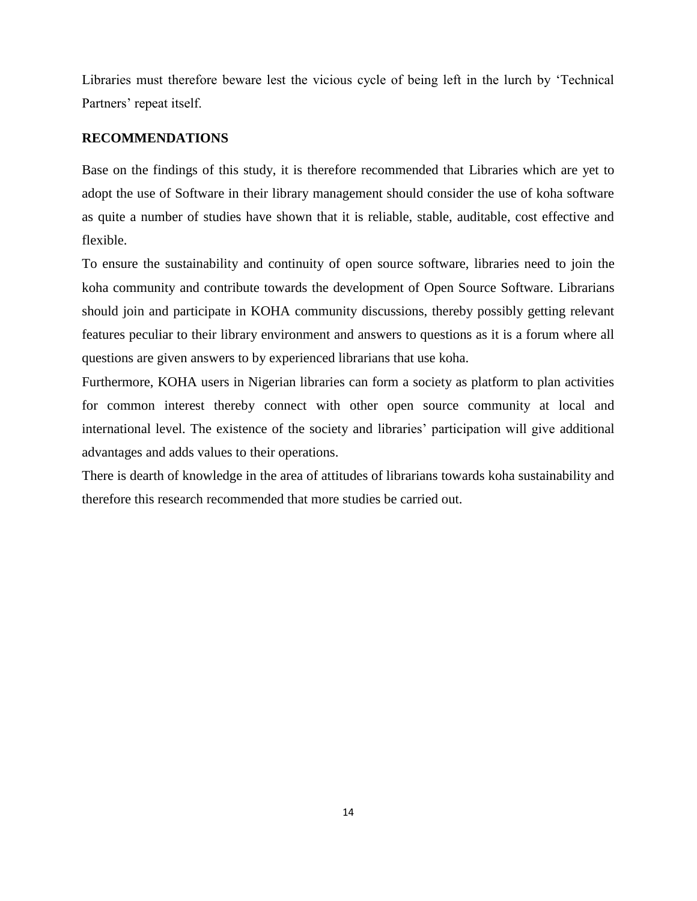Libraries must therefore beware lest the vicious cycle of being left in the lurch by 'Technical Partners' repeat itself.

## **RECOMMENDATIONS**

Base on the findings of this study, it is therefore recommended that Libraries which are yet to adopt the use of Software in their library management should consider the use of koha software as quite a number of studies have shown that it is reliable, stable, auditable, cost effective and flexible.

To ensure the sustainability and continuity of open source software, libraries need to join the koha community and contribute towards the development of Open Source Software. Librarians should join and participate in KOHA community discussions, thereby possibly getting relevant features peculiar to their library environment and answers to questions as it is a forum where all questions are given answers to by experienced librarians that use koha.

Furthermore, KOHA users in Nigerian libraries can form a society as platform to plan activities for common interest thereby connect with other open source community at local and international level. The existence of the society and libraries' participation will give additional advantages and adds values to their operations.

There is dearth of knowledge in the area of attitudes of librarians towards koha sustainability and therefore this research recommended that more studies be carried out.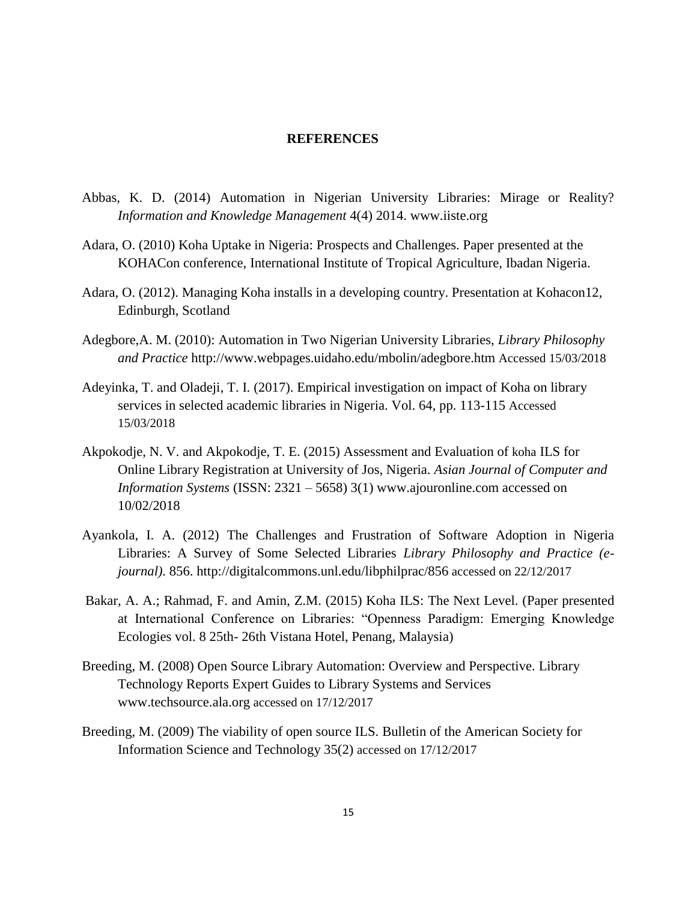#### **REFERENCES**

- Abbas, K. D. (2014) Automation in Nigerian University Libraries: Mirage or Reality? *Information and Knowledge Management* 4(4) 2014. [www.iiste.org](http://www.iiste.org/)
- Adara, O. (2010) Koha Uptake in Nigeria: Prospects and Challenges. Paper presented at the KOHACon conference, International Institute of Tropical Agriculture, Ibadan Nigeria.
- Adara, O. (2012). Managing Koha installs in a developing country. Presentation at Kohacon12, Edinburgh, Scotland
- Adegbore,A. M. (2010): Automation in Two Nigerian University Libraries, *Library Philosophy and Practice* <http://www.webpages.uidaho.edu/mbolin/adegbore.htm> Accessed 15/03/2018
- Adeyinka, T. and Oladeji, T. I. (2017). Empirical investigation on impact of Koha on library services in selected academic libraries in Nigeria. Vol. 64, pp. 113-115 Accessed 15/03/2018
- Akpokodje, N. V. and Akpokodje, T. E. (2015) Assessment and Evaluation of koha ILS for Online Library Registration at University of Jos, Nigeria. *Asian Journal of Computer and Information Systems* (ISSN: 2321 – 5658) 3(1) www.ajouronline.com accessed on 10/02/2018
- Ayankola, I. A. (2012) The Challenges and Frustration of Software Adoption in Nigeria Libraries: A Survey of Some Selected Libraries *Library Philosophy and Practice (ejournal)*. 856.<http://digitalcommons.unl.edu/libphilprac/856> accessed on 22/12/2017
- Bakar, A. A.; Rahmad, F. and Amin, Z.M. (2015) Koha ILS: The Next Level. (Paper presented at International Conference on Libraries: "Openness Paradigm: Emerging Knowledge Ecologies vol. 8 25th- 26th Vistana Hotel, Penang, Malaysia)
- Breeding, M. (2008) Open Source Library Automation: Overview and Perspective. Library Technology Reports Expert Guides to Library Systems and Services [www.techsource.ala.org](http://www.techsource.ala.org/) accessed on 17/12/2017
- Breeding, M. (2009) The viability of open source ILS. Bulletin of the American Society for Information Science and Technology 35(2) accessed on 17/12/2017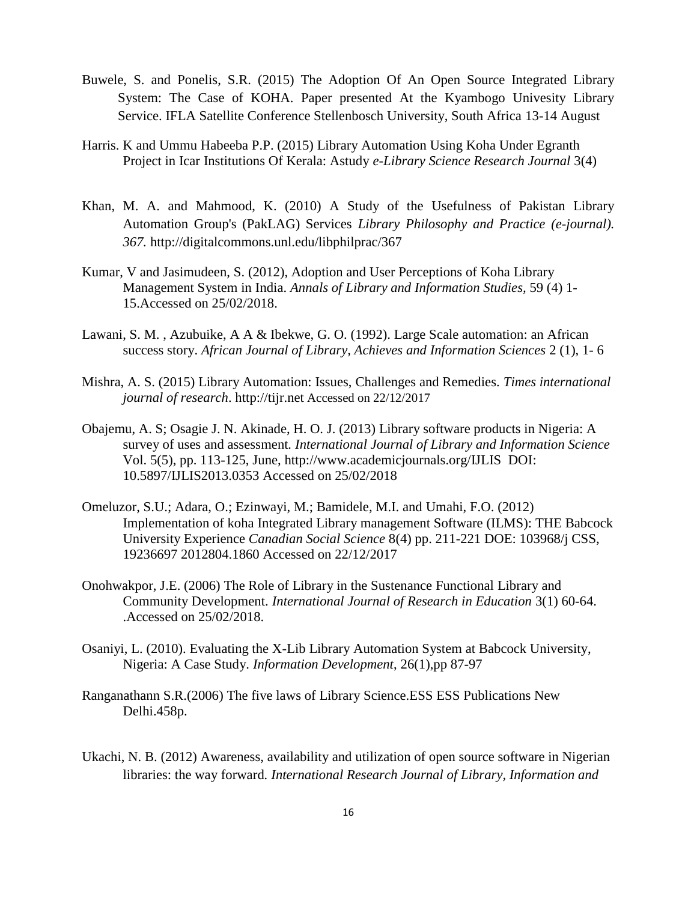- Buwele, S. and Ponelis, S.R. (2015) The Adoption Of An Open Source Integrated Library System: The Case of KOHA. Paper presented At the Kyambogo Univesity Library Service. IFLA Satellite Conference Stellenbosch University, South Africa 13-14 August
- Harris. K and Ummu Habeeba P.P. (2015) Library Automation Using Koha Under Egranth Project in Icar Institutions Of Kerala: Astudy *e-Library Science Research Journal* 3(4)
- Khan, M. A. and Mahmood, K. (2010) A Study of the Usefulness of Pakistan Library Automation Group's (PakLAG) Services *Library Philosophy and Practice (e-journal). 367.* <http://digitalcommons.unl.edu/libphilprac/367>
- Kumar, V and Jasimudeen, S. (2012), Adoption and User Perceptions of Koha Library Management System in India. *Annals of Library and Information Studies,* 59 (4) 1- 15.Accessed on 25/02/2018.
- Lawani, S. M. , Azubuike, A A & Ibekwe, G. O. (1992). Large Scale automation: an African success story. *African Journal of Library, Achieves and Information Sciences* 2 (1), 1- 6
- Mishra, A. S. (2015) Library Automation: Issues, Challenges and Remedies. *Times international journal of research*. [http://tijr.net](http://tijr.net/) Accessed on 22/12/2017
- Obajemu, A. S; Osagie J. N. Akinade, H. O. J. (2013) Library software products in Nigeria: A survey of uses and assessment*. International Journal of Library and Information Science* Vol. 5(5), pp. 113-125, June,<http://www.academicjournals.org/IJLIS> DOI: 10.5897/IJLIS2013.0353 Accessed on 25/02/2018
- Omeluzor, S.U.; Adara, O.; Ezinwayi, M.; Bamidele, M.I. and Umahi, F.O. (2012) Implementation of koha Integrated Library management Software (ILMS): THE Babcock University Experience *Canadian Social Science* 8(4) pp. 211-221 DOE: 103968/j CSS, 19236697 2012804.1860 Accessed on 22/12/2017
- Onohwakpor, J.E. (2006) The Role of Library in the Sustenance Functional Library and Community Development. *International Journal of Research in Education* 3(1) 60-64. .Accessed on 25/02/2018.
- Osaniyi, L. (2010). Evaluating the X-Lib Library Automation System at Babcock University, Nigeria: A Case Study. *Information Development*, 26(1),pp 87-97
- Ranganathann S.R.(2006) The five laws of Library Science.ESS ESS Publications New Delhi.458p.
- Ukachi, N. B. (2012) Awareness, availability and utilization of open source software in Nigerian libraries: the way forward*. International Research Journal of Library, Information and*